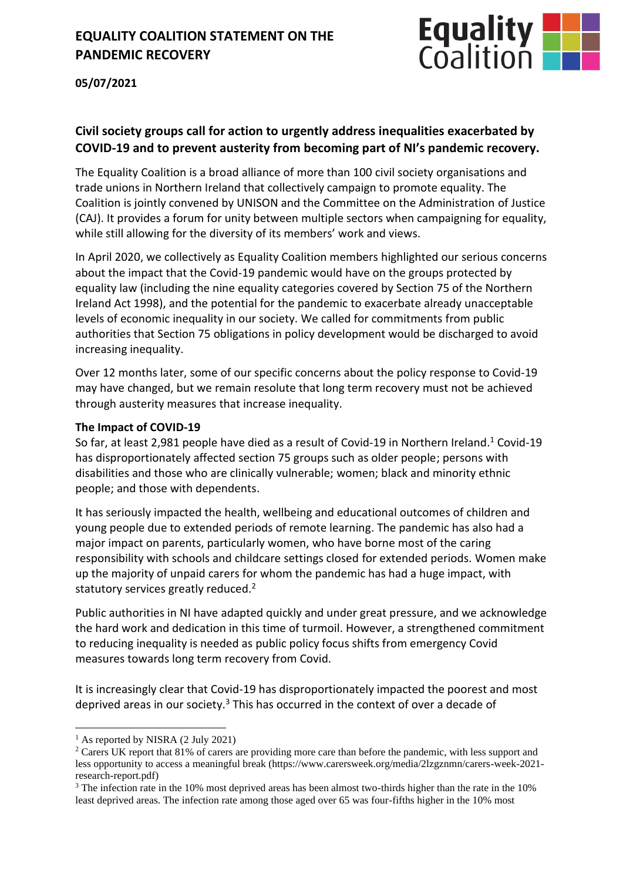

**05/07/2021**

## **Civil society groups call for action to urgently address inequalities exacerbated by COVID-19 and to prevent austerity from becoming part of NI's pandemic recovery.**

The Equality Coalition is a broad alliance of more than 100 civil society organisations and trade unions in Northern Ireland that collectively campaign to promote equality. The Coalition is jointly convened by UNISON and the Committee on the Administration of Justice (CAJ). It provides a forum for unity between multiple sectors when campaigning for equality, while still allowing for the diversity of its members' work and views.

In April 2020, we collectively as Equality Coalition members highlighted our serious concerns about the impact that the Covid-19 pandemic would have on the groups protected by equality law (including the nine equality categories covered by Section 75 of the Northern Ireland Act 1998), and the potential for the pandemic to exacerbate already unacceptable levels of economic inequality in our society. We called for commitments from public authorities that Section 75 obligations in policy development would be discharged to avoid increasing inequality.

Over 12 months later, some of our specific concerns about the policy response to Covid-19 may have changed, but we remain resolute that long term recovery must not be achieved through austerity measures that increase inequality.

## **The Impact of COVID-19**

So far, at least 2,981 people have died as a result of Covid-19 in Northern Ireland.<sup>1</sup> Covid-19 has disproportionately affected section 75 groups such as older people; persons with disabilities and those who are clinically vulnerable; women; black and minority ethnic people; and those with dependents.

It has seriously impacted the health, wellbeing and educational outcomes of children and young people due to extended periods of remote learning. The pandemic has also had a major impact on parents, particularly women, who have borne most of the caring responsibility with schools and childcare settings closed for extended periods. Women make up the majority of unpaid carers for whom the pandemic has had a huge impact, with statutory services greatly reduced.<sup>2</sup>

Public authorities in NI have adapted quickly and under great pressure, and we acknowledge the hard work and dedication in this time of turmoil. However, a strengthened commitment to reducing inequality is needed as public policy focus shifts from emergency Covid measures towards long term recovery from Covid.

It is increasingly clear that Covid-19 has disproportionately impacted the poorest and most deprived areas in our society.<sup>3</sup> This has occurred in the context of over a decade of

 $<sup>1</sup>$  As reported by NISRA (2 July 2021)</sup>

<sup>&</sup>lt;sup>2</sup> Carers UK report that 81% of carers are providing more care than before the pandemic, with less support and less opportunity to access a meaningful break (https://www.carersweek.org/media/2lzgznmn/carers-week-2021 research-report.pdf)

<sup>&</sup>lt;sup>3</sup> The infection rate in the 10% most deprived areas has been almost two-thirds higher than the rate in the 10% least deprived areas. The infection rate among those aged over 65 was four-fifths higher in the 10% most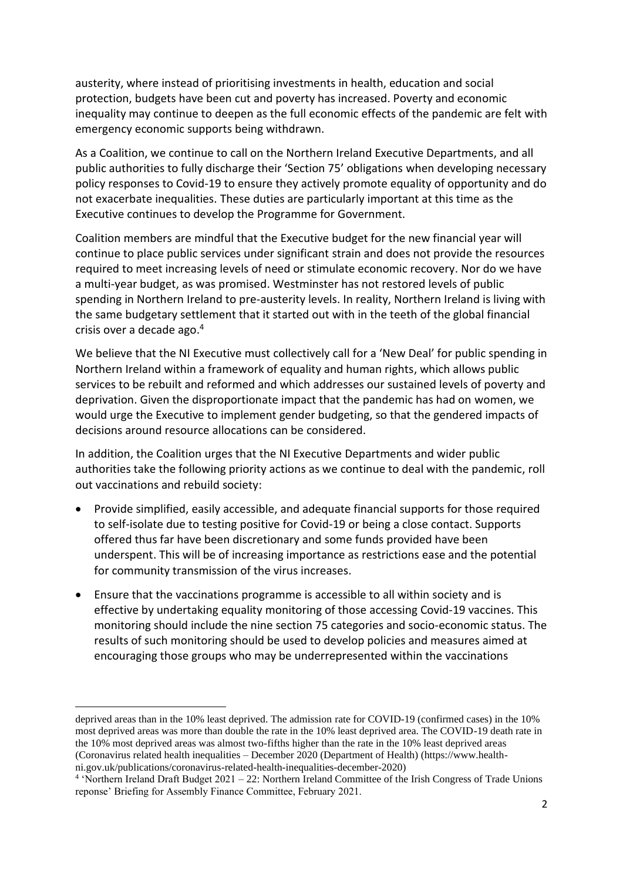austerity, where instead of prioritising investments in health, education and social protection, budgets have been cut and poverty has increased. Poverty and economic inequality may continue to deepen as the full economic effects of the pandemic are felt with emergency economic supports being withdrawn.

As a Coalition, we continue to call on the Northern Ireland Executive Departments, and all public authorities to fully discharge their 'Section 75' obligations when developing necessary policy responses to Covid-19 to ensure they actively promote equality of opportunity and do not exacerbate inequalities. These duties are particularly important at this time as the Executive continues to develop the Programme for Government.

Coalition members are mindful that the Executive budget for the new financial year will continue to place public services under significant strain and does not provide the resources required to meet increasing levels of need or stimulate economic recovery. Nor do we have a multi-year budget, as was promised. Westminster has not restored levels of public spending in Northern Ireland to pre-austerity levels. In reality, Northern Ireland is living with the same budgetary settlement that it started out with in the teeth of the global financial crisis over a decade ago.<sup>4</sup>

We believe that the NI Executive must collectively call for a 'New Deal' for public spending in Northern Ireland within a framework of equality and human rights, which allows public services to be rebuilt and reformed and which addresses our sustained levels of poverty and deprivation. Given the disproportionate impact that the pandemic has had on women, we would urge the Executive to implement gender budgeting, so that the gendered impacts of decisions around resource allocations can be considered.

In addition, the Coalition urges that the NI Executive Departments and wider public authorities take the following priority actions as we continue to deal with the pandemic, roll out vaccinations and rebuild society:

- Provide simplified, easily accessible, and adequate financial supports for those required to self-isolate due to testing positive for Covid-19 or being a close contact. Supports offered thus far have been discretionary and some funds provided have been underspent. This will be of increasing importance as restrictions ease and the potential for community transmission of the virus increases.
- Ensure that the vaccinations programme is accessible to all within society and is effective by undertaking equality monitoring of those accessing Covid-19 vaccines. This monitoring should include the nine section 75 categories and socio-economic status. The results of such monitoring should be used to develop policies and measures aimed at encouraging those groups who may be underrepresented within the vaccinations

deprived areas than in the 10% least deprived. The admission rate for COVID-19 (confirmed cases) in the 10% most deprived areas was more than double the rate in the 10% least deprived area. The COVID-19 death rate in the 10% most deprived areas was almost two-fifths higher than the rate in the 10% least deprived areas (Coronavirus related health inequalities – December 2020 (Department of Health) (https://www.healthni.gov.uk/publications/coronavirus-related-health-inequalities-december-2020)

<sup>4</sup> 'Northern Ireland Draft Budget 2021 – 22: Northern Ireland Committee of the Irish Congress of Trade Unions reponse' Briefing for Assembly Finance Committee, February 2021.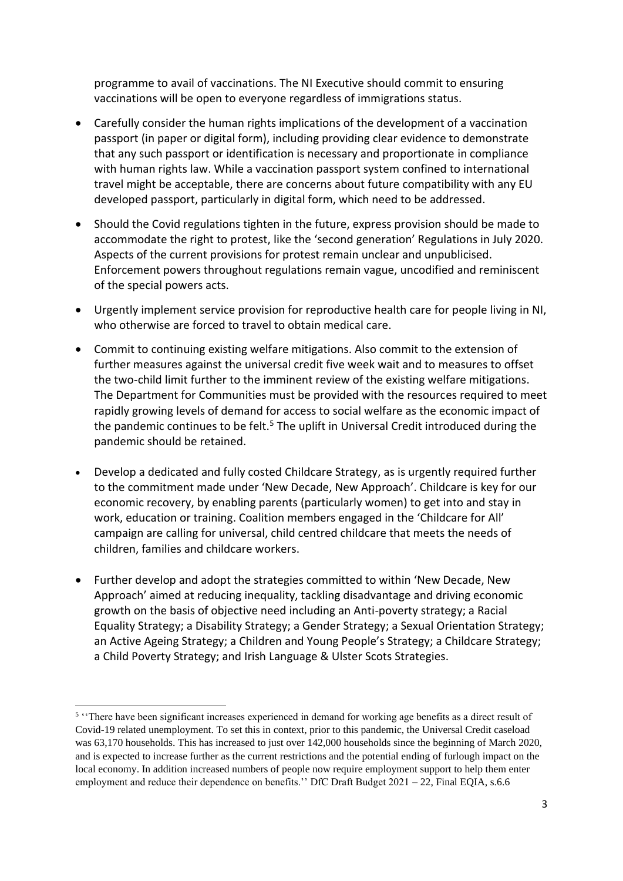programme to avail of vaccinations. The NI Executive should commit to ensuring vaccinations will be open to everyone regardless of immigrations status.

- Carefully consider the human rights implications of the development of a vaccination passport (in paper or digital form), including providing clear evidence to demonstrate that any such passport or identification is necessary and proportionate in compliance with human rights law. While a vaccination passport system confined to international travel might be acceptable, there are concerns about future compatibility with any EU developed passport, particularly in digital form, which need to be addressed.
- Should the Covid regulations tighten in the future, express provision should be made to accommodate the right to protest, like the 'second generation' Regulations in July 2020. Aspects of the current provisions for protest remain unclear and unpublicised. Enforcement powers throughout regulations remain vague, uncodified and reminiscent of the special powers acts.
- Urgently implement service provision for reproductive health care for people living in NI, who otherwise are forced to travel to obtain medical care.
- Commit to continuing existing welfare mitigations. Also commit to the extension of further measures against the universal credit five week wait and to measures to offset the two-child limit further to the imminent review of the existing welfare mitigations. The Department for Communities must be provided with the resources required to meet rapidly growing levels of demand for access to social welfare as the economic impact of the pandemic continues to be felt.<sup>5</sup> The uplift in Universal Credit introduced during the pandemic should be retained.
- Develop a dedicated and fully costed Childcare Strategy, as is urgently required further to the commitment made under 'New Decade, New Approach'. Childcare is key for our economic recovery, by enabling parents (particularly women) to get into and stay in work, education or training. Coalition members engaged in the 'Childcare for All' campaign are calling for universal, child centred childcare that meets the needs of children, families and childcare workers.
- Further develop and adopt the strategies committed to within 'New Decade, New Approach' aimed at reducing inequality, tackling disadvantage and driving economic growth on the basis of objective need including an Anti-poverty strategy; a Racial Equality Strategy; a Disability Strategy; a Gender Strategy; a Sexual Orientation Strategy; an Active Ageing Strategy; a Children and Young People's Strategy; a Childcare Strategy; a Child Poverty Strategy; and Irish Language & Ulster Scots Strategies.

<sup>&</sup>lt;sup>5</sup> "There have been significant increases experienced in demand for working age benefits as a direct result of Covid-19 related unemployment. To set this in context, prior to this pandemic, the Universal Credit caseload was 63,170 households. This has increased to just over 142,000 households since the beginning of March 2020, and is expected to increase further as the current restrictions and the potential ending of furlough impact on the local economy. In addition increased numbers of people now require employment support to help them enter employment and reduce their dependence on benefits." DfC Draft Budget 2021 – 22, Final EQIA, s.6.6